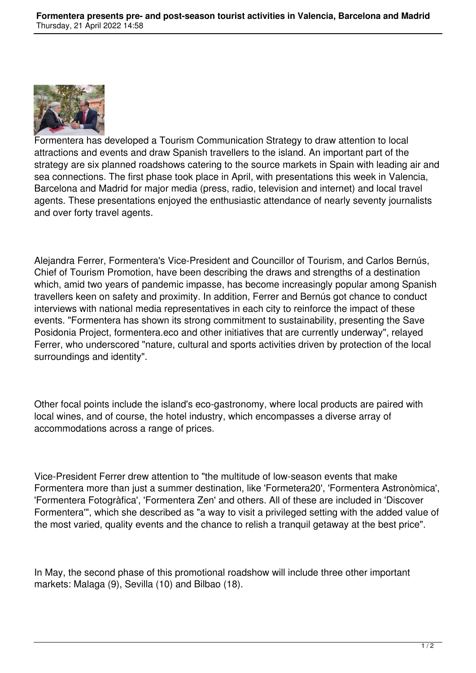

Formentera has developed a Tourism Communication Strategy to draw attention to local attractions and events and draw Spanish travellers to the island. An important part of the strategy are six planned roadshows catering to the source markets in Spain with leading air and sea connections. The first phase took place in April, with presentations this week in Valencia, Barcelona and Madrid for major media (press, radio, television and internet) and local travel agents. These presentations enjoyed the enthusiastic attendance of nearly seventy journalists and over forty travel agents.

Alejandra Ferrer, Formentera's Vice-President and Councillor of Tourism, and Carlos Bernús, Chief of Tourism Promotion, have been describing the draws and strengths of a destination which, amid two years of pandemic impasse, has become increasingly popular among Spanish travellers keen on safety and proximity. In addition, Ferrer and Bernús got chance to conduct interviews with national media representatives in each city to reinforce the impact of these events. "Formentera has shown its strong commitment to sustainability, presenting the Save Posidonia Project, formentera.eco and other initiatives that are currently underway", relayed Ferrer, who underscored "nature, cultural and sports activities driven by protection of the local surroundings and identity".

Other focal points include the island's eco-gastronomy, where local products are paired with local wines, and of course, the hotel industry, which encompasses a diverse array of accommodations across a range of prices.

Vice-President Ferrer drew attention to "the multitude of low-season events that make Formentera more than just a summer destination, like 'Formetera20', 'Formentera Astronòmica', 'Formentera Fotogràfica', 'Formentera Zen' and others. All of these are included in 'Discover Formentera'", which she described as "a way to visit a privileged setting with the added value of the most varied, quality events and the chance to relish a tranquil getaway at the best price".

In May, the second phase of this promotional roadshow will include three other important markets: Malaga (9), Sevilla (10) and Bilbao (18).